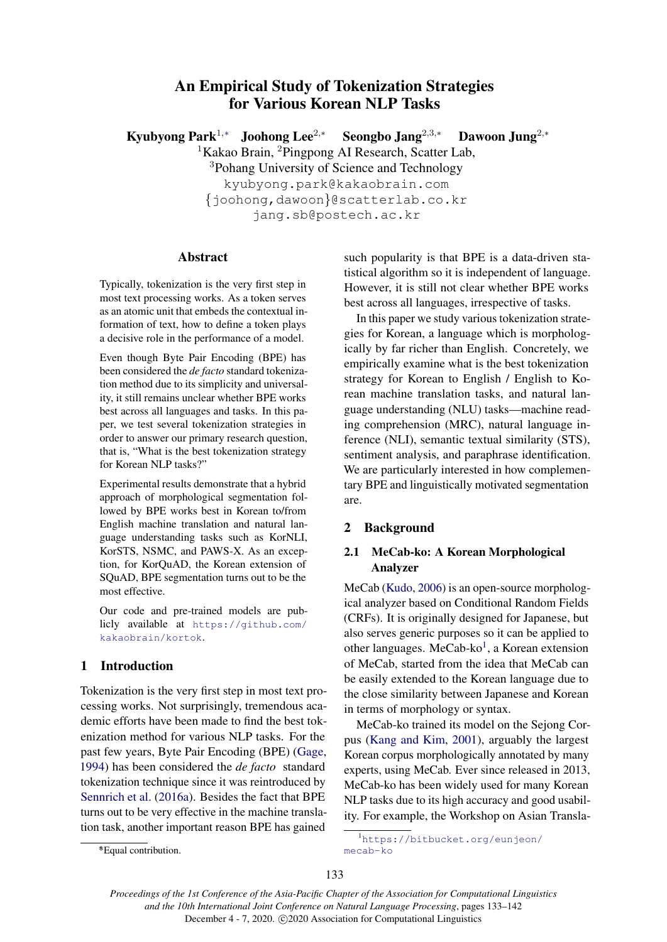# An Empirical Study of Tokenization Strategies for Various Korean NLP Tasks

Kyubyong Park<sup>1,∗</sup> Joohong Lee<sup>2,∗</sup> Seongbo Jang<sup>2,3,∗</sup> Dawoon Jung<sup>2,∗</sup>  ${}^{1}$ Kakao Brain, <sup>2</sup>Pingpong AI Research, Scatter Lab, <sup>3</sup>Pohang University of Science and Technology kyubyong.park@kakaobrain.com {joohong,dawoon}@scatterlab.co.kr jang.sb@postech.ac.kr

### Abstract

Typically, tokenization is the very first step in most text processing works. As a token serves as an atomic unit that embeds the contextual information of text, how to define a token plays a decisive role in the performance of a model.

Even though Byte Pair Encoding (BPE) has been considered the *de facto* standard tokenization method due to its simplicity and universality, it still remains unclear whether BPE works best across all languages and tasks. In this paper, we test several tokenization strategies in order to answer our primary research question, that is, "What is the best tokenization strategy for Korean NLP tasks?"

Experimental results demonstrate that a hybrid approach of morphological segmentation followed by BPE works best in Korean to/from English machine translation and natural language understanding tasks such as KorNLI, KorSTS, NSMC, and PAWS-X. As an exception, for KorQuAD, the Korean extension of SQuAD, BPE segmentation turns out to be the most effective.

Our code and pre-trained models are publicly available at [https://github.com/](https://github.com/kakaobrain/kortok) [kakaobrain/kortok](https://github.com/kakaobrain/kortok).

# 1 Introduction

Tokenization is the very first step in most text processing works. Not surprisingly, tremendous academic efforts have been made to find the best tokenization method for various NLP tasks. For the past few years, Byte Pair Encoding (BPE) [\(Gage,](#page-7-0) [1994\)](#page-7-0) has been considered the *de facto* standard tokenization technique since it was reintroduced by [Sennrich et al.](#page-9-0) [\(2016a\)](#page-9-0). Besides the fact that BPE turns out to be very effective in the machine translation task, another important reason BPE has gained

In this paper we study various tokenization strategies for Korean, a language which is morphologically by far richer than English. Concretely, we empirically examine what is the best tokenization strategy for Korean to English / English to Korean machine translation tasks, and natural language understanding (NLU) tasks—machine reading comprehension (MRC), natural language inference (NLI), semantic textual similarity (STS), sentiment analysis, and paraphrase identification. We are particularly interested in how complementary BPE and linguistically motivated segmentation are.

#### 2 Background

# 2.1 MeCab-ko: A Korean Morphological Analyzer

MeCab [\(Kudo,](#page-8-0) [2006\)](#page-8-0) is an open-source morphological analyzer based on Conditional Random Fields (CRFs). It is originally designed for Japanese, but also serves generic purposes so it can be applied to other languages. MeCab-ko<sup>[1](#page-0-0)</sup>, a Korean extension of MeCab, started from the idea that MeCab can be easily extended to the Korean language due to the close similarity between Japanese and Korean in terms of morphology or syntax.

MeCab-ko trained its model on the Sejong Corpus [\(Kang and Kim,](#page-7-1) [2001\)](#page-7-1), arguably the largest Korean corpus morphologically annotated by many experts, using MeCab. Ever since released in 2013, MeCab-ko has been widely used for many Korean NLP tasks due to its high accuracy and good usability. For example, the Workshop on Asian Transla-

<span id="page-0-0"></span><sup>1</sup>[https://bitbucket.org/eunjeon/](https://bitbucket.org/eunjeon/mecab-ko)

[mecab-ko](https://bitbucket.org/eunjeon/mecab-ko)

*Proceedings of the 1st Conference of the Asia-Pacific Chapter of the Association for Computational Linguistics and the 10th International Joint Conference on Natural Language Processing*, pages 133–142 December 4 - 7, 2020. (c) 2020 Association for Computational Linguistics

such popularity is that BPE is a data-driven statistical algorithm so it is independent of language. However, it is still not clear whether BPE works best across all languages, irrespective of tasks.

<sup>∗</sup> \*Equal contribution.

<sup>133</sup>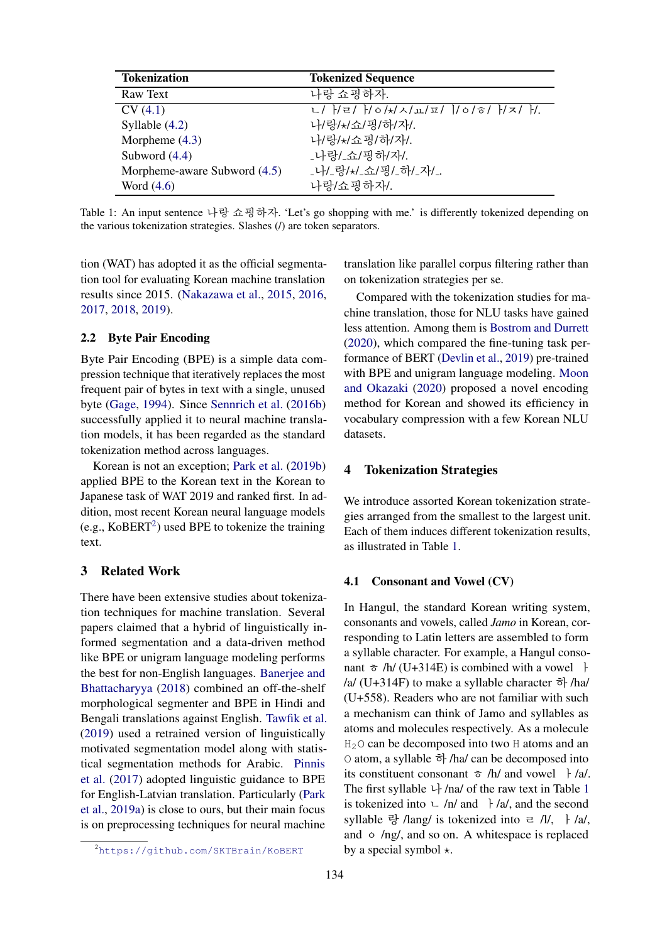<span id="page-1-2"></span>

| <b>Tokenization</b>          | <b>Tokenized Sequence</b>            |
|------------------------------|--------------------------------------|
| Raw Text                     | 나랑 쇼핑하자.                             |
| CV(4.1)                      | ㄴ/ }/ㄹ/ }/ㅇ/*/ㅅ/ㅛ/ㅍ/  /ㅇ/ㅎ/ }/ㅈ/ }/. |
| Syllable $(4.2)$             | 나/랑/*/쇼/핑/하/자/.                      |
| Morpheme $(4.3)$             | 나/랑/*/쇼핑/하/자/.                       |
| Subword $(4.4)$              | _나랑/_쇼/핑하/자/.                        |
| Morpheme-aware Subword (4.5) | 나/_랑/*/_쇼/핑/_하/_자/_.                 |
| Word $(4.6)$                 | 나랑/쇼핑하자/.                            |

Table 1: An input sentence 나랑 쇼핑하자. 'Let's go shopping with me.' is differently tokenized depending on the various tokenization strategies. Slashes (/) are token separators.

tion (WAT) has adopted it as the official segmentation tool for evaluating Korean machine translation results since 2015. [\(Nakazawa et al.,](#page-8-1) [2015,](#page-8-1) [2016,](#page-8-2) [2017,](#page-8-3) [2018,](#page-8-4) [2019\)](#page-8-5).

### 2.2 Byte Pair Encoding

Byte Pair Encoding (BPE) is a simple data compression technique that iteratively replaces the most frequent pair of bytes in text with a single, unused byte [\(Gage,](#page-7-0) [1994\)](#page-7-0). Since [Sennrich et al.](#page-9-1) [\(2016b\)](#page-9-1) successfully applied it to neural machine translation models, it has been regarded as the standard tokenization method across languages.

Korean is not an exception; [Park et al.](#page-8-6) [\(2019b\)](#page-8-6) applied BPE to the Korean text in the Korean to Japanese task of WAT 2019 and ranked first. In addition, most recent Korean neural language models (e.g.,  $KoBERT<sup>2</sup>$  $KoBERT<sup>2</sup>$  $KoBERT<sup>2</sup>$ ) used BPE to tokenize the training text.

### 3 Related Work

There have been extensive studies about tokenization techniques for machine translation. Several papers claimed that a hybrid of linguistically informed segmentation and a data-driven method like BPE or unigram language modeling performs the best for non-English languages. [Banerjee and](#page-7-2) [Bhattacharyya](#page-7-2) [\(2018\)](#page-7-2) combined an off-the-shelf morphological segmenter and BPE in Hindi and Bengali translations against English. [Tawfik et al.](#page-9-2) [\(2019\)](#page-9-2) used a retrained version of linguistically motivated segmentation model along with statistical segmentation methods for Arabic. [Pinnis](#page-8-7) [et al.](#page-8-7) [\(2017\)](#page-8-7) adopted linguistic guidance to BPE for English-Latvian translation. Particularly [\(Park](#page-8-8) [et al.,](#page-8-8) [2019a\)](#page-8-8) is close to ours, but their main focus is on preprocessing techniques for neural machine translation like parallel corpus filtering rather than on tokenization strategies per se.

Compared with the tokenization studies for machine translation, those for NLU tasks have gained less attention. Among them is [Bostrom and Durrett](#page-7-3) [\(2020\)](#page-7-3), which compared the fine-tuning task performance of BERT [\(Devlin et al.,](#page-7-4) [2019\)](#page-7-4) pre-trained with BPE and unigram language modeling. [Moon](#page-8-9) [and Okazaki](#page-8-9) [\(2020\)](#page-8-9) proposed a novel encoding method for Korean and showed its efficiency in vocabulary compression with a few Korean NLU datasets.

#### <span id="page-1-3"></span>4 Tokenization Strategies

We introduce assorted Korean tokenization strategies arranged from the smallest to the largest unit. Each of them induces different tokenization results, as illustrated in Table [1.](#page-1-2)

#### <span id="page-1-0"></span>4.1 Consonant and Vowel (CV)

In Hangul, the standard Korean writing system, consonants and vowels, called *Jamo* in Korean, corresponding to Latin letters are assembled to form a syllable character. For example, a Hangul consonant  $\bar{\sigma}$  /h/ (U+314E) is combined with a vowel  $\bar{\tau}$ /a/ (U+314F) to make a syllable character  $\vec{\sigma}$  /ha/ (U+558). Readers who are not familiar with such a mechanism can think of Jamo and syllables as atoms and molecules respectively. As a molecule  $H<sub>2</sub>$ O can be decomposed into two H atoms and an O atom, a syllable 하 /ha/ can be decomposed into its constituent consonant  $\bar{\sigma}$  /h/ and vowel  $\bar{\tau}$ /a/. The first syllable  $\downarrow$  /na/ of the raw text in Table [1](#page-1-2) is tokenized into  $\overline{\phantom{a}}$  /n/ and  $\overline{\phantom{a}}$  /a/, and the second syllable 랑 /lang/ is tokenized into  $=$  /l/, } /a/, and  $\circ$  /ng/, and so on. A whitespace is replaced by a special symbol  $\star$ .

<span id="page-1-1"></span><sup>2</sup><https://github.com/SKTBrain/KoBERT>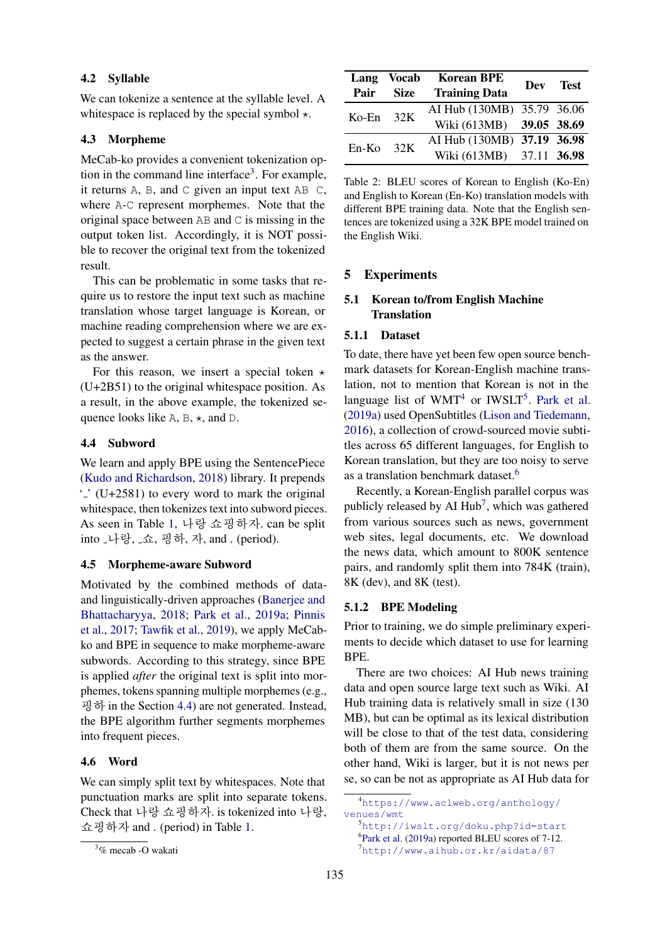### <span id="page-2-0"></span>4.2 Syllable

We can tokenize a sentence at the syllable level. A whitespace is replaced by the special symbol  $\star$ .

### <span id="page-2-1"></span>4.3 Morpheme

MeCab-ko provides a convenient tokenization op-tion in the command line interface<sup>[3](#page-2-5)</sup>. For example, it returns A, B, and C given an input text AB C, where A-C represent morphemes. Note that the original space between AB and C is missing in the output token list. Accordingly, it is NOT possible to recover the original text from the tokenized result.

This can be problematic in some tasks that require us to restore the input text such as machine translation whose target language is Korean, or machine reading comprehension where we are expected to suggest a certain phrase in the given text as the answer.

For this reason, we insert a special token  $\star$ (U+2B51) to the original whitespace position. As a result, in the above example, the tokenized sequence looks like A, B,  $\star$ , and D.

### <span id="page-2-2"></span>4.4 Subword

We learn and apply BPE using the SentencePiece [\(Kudo and Richardson,](#page-8-10) [2018\)](#page-8-10) library. It prepends  $\cdot$  (U+2581) to every word to mark the original whitespace, then tokenizes text into subword pieces. As seen in Table [1,](#page-1-2) 나랑 쇼핑하자. can be split into <sub>-</sub>나랑, <sub>-</sub>쇼, 핑하, 자, and . (period).

#### <span id="page-2-3"></span>4.5 Morpheme-aware Subword

Motivated by the combined methods of dataand linguistically-driven approaches [\(Banerjee and](#page-7-2) [Bhattacharyya,](#page-7-2) [2018;](#page-7-2) [Park et al.,](#page-8-8) [2019a;](#page-8-8) [Pinnis](#page-8-7) [et al.,](#page-8-7) [2017;](#page-8-7) [Tawfik et al.,](#page-9-2) [2019\)](#page-9-2), we apply MeCabko and BPE in sequence to make morpheme-aware subwords. According to this strategy, since BPE is applied *after* the original text is split into morphemes, tokens spanning multiple morphemes (e.g., 굉하 in the Section [4.4\)](#page-2-2) are not generated. Instead, the BPE algorithm further segments morphemes into frequent pieces.

#### <span id="page-2-4"></span>4.6 Word

We can simply split text by whitespaces. Note that punctuation marks are split into separate tokens. Check that 나랑 쇼핑하자. is tokenized into 나랑, 쇼핑하자 and . (period) in Table [1.](#page-1-2)

<span id="page-2-10"></span>

|       | Lang Vocab  | <b>Korean BPE</b>          | Dev Test |  |
|-------|-------------|----------------------------|----------|--|
| Pair  | <b>Size</b> | <b>Training Data</b>       |          |  |
| Ko-En | 32K         | AI Hub (130MB) 35.79 36.06 |          |  |
|       |             | Wiki (613MB) 39.05 38.69   |          |  |
| En-Ko | 32K         | AI Hub (130MB) 37.19 36.98 |          |  |
|       |             | Wiki (613MB) 37.11 36.98   |          |  |

Table 2: BLEU scores of Korean to English (Ko-En) and English to Korean (En-Ko) translation models with different BPE training data. Note that the English sentences are tokenized using a 32K BPE model trained on the English Wiki.

### 5 Experiments

# 5.1 Korean to/from English Machine **Translation**

#### 5.1.1 Dataset

To date, there have yet been few open source benchmark datasets for Korean-English machine translation, not to mention that Korean is not in the language list of  $WMT<sup>4</sup>$  $WMT<sup>4</sup>$  $WMT<sup>4</sup>$  or  $IWSLT<sup>5</sup>$  $IWSLT<sup>5</sup>$  $IWSLT<sup>5</sup>$ . [Park et al.](#page-8-8) [\(2019a\)](#page-8-8) used OpenSubtitles [\(Lison and Tiedemann,](#page-8-11) [2016\)](#page-8-11), a collection of crowd-sourced movie subtitles across 65 different languages, for English to Korean translation, but they are too noisy to serve as a translation benchmark dataset.<sup>[6](#page-2-8)</sup>

Recently, a Korean-English parallel corpus was publicly released by AI Hub<sup>[7](#page-2-9)</sup>, which was gathered from various sources such as news, government web sites, legal documents, etc. We download the news data, which amount to 800K sentence pairs, and randomly split them into 784K (train), 8K (dev), and 8K (test).

#### 5.1.2 BPE Modeling

Prior to training, we do simple preliminary experiments to decide which dataset to use for learning BPE.

There are two choices: AI Hub news training data and open source large text such as Wiki. AI Hub training data is relatively small in size (130 MB), but can be optimal as its lexical distribution will be close to that of the test data, considering both of them are from the same source. On the other hand, Wiki is larger, but it is not news per se, so can be not as appropriate as AI Hub data for

<span id="page-2-5"></span><sup>3</sup>% mecab -O wakati

<span id="page-2-6"></span><sup>4</sup>[https://www.aclweb.org/anthology/](https://www.aclweb.org/anthology/venues/wmt) [venues/wmt](https://www.aclweb.org/anthology/venues/wmt)

<span id="page-2-7"></span><sup>5</sup><http://iwslt.org/doku.php?id=start>

<span id="page-2-8"></span><sup>6</sup> [Park et al.](#page-8-8) [\(2019a\)](#page-8-8) reported BLEU scores of 7-12.

<span id="page-2-9"></span><sup>7</sup><http://www.aihub.or.kr/aidata/87>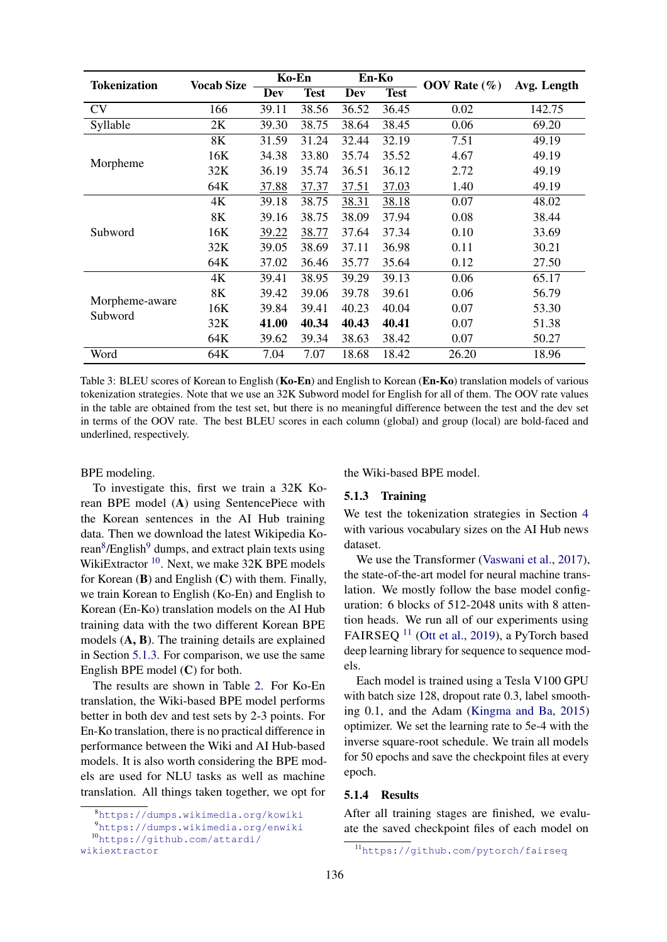<span id="page-3-5"></span>

| Tokenization              | <b>Vocab Size</b> | Ko-En |             | En-Ko                     |       | OOV Rate $(\%)$ | Avg. Length |  |
|---------------------------|-------------------|-------|-------------|---------------------------|-------|-----------------|-------------|--|
|                           |                   | Dev   | <b>Test</b> | <b>Dev</b><br><b>Test</b> |       |                 |             |  |
| <b>CV</b>                 | 166               | 39.11 | 38.56       | 36.52                     | 36.45 | 0.02            | 142.75      |  |
| Syllable                  | 2K                | 39.30 | 38.75       | 38.64                     | 38.45 | 0.06            | 69.20       |  |
| Morpheme                  | 8K                | 31.59 | 31.24       | 32.44                     | 32.19 | 7.51            | 49.19       |  |
|                           | 16K               | 34.38 | 33.80       | 35.74                     | 35.52 | 4.67            | 49.19       |  |
|                           | 32K               | 36.19 | 35.74       | 36.51                     | 36.12 | 2.72            | 49.19       |  |
|                           | 64K               | 37.88 | 37.37       | 37.51                     | 37.03 | 1.40            | 49.19       |  |
|                           | 4K                | 39.18 | 38.75       | 38.31                     | 38.18 | 0.07            | 48.02       |  |
|                           | 8K                | 39.16 | 38.75       | 38.09                     | 37.94 | 0.08            | 38.44       |  |
| Subword                   | 16K               | 39.22 | 38.77       | 37.64                     | 37.34 | 0.10            | 33.69       |  |
|                           | 32K               | 39.05 | 38.69       | 37.11                     | 36.98 | 0.11            | 30.21       |  |
|                           | 64K               | 37.02 | 36.46       | 35.77                     | 35.64 | 0.12            | 27.50       |  |
|                           | 4K                | 39.41 | 38.95       | 39.29                     | 39.13 | 0.06            | 65.17       |  |
|                           | 8K                | 39.42 | 39.06       | 39.78                     | 39.61 | 0.06            | 56.79       |  |
| Morpheme-aware<br>Subword | 16K               | 39.84 | 39.41       | 40.23                     | 40.04 | 0.07            | 53.30       |  |
|                           | 32K               | 41.00 | 40.34       | 40.43                     | 40.41 | 0.07            | 51.38       |  |
|                           | 64K               | 39.62 | 39.34       | 38.63                     | 38.42 | 0.07            | 50.27       |  |
| Word                      | 64K               | 7.04  | 7.07        | 18.68                     | 18.42 | 26.20           | 18.96       |  |

Table 3: BLEU scores of Korean to English (Ko-En) and English to Korean (En-Ko) translation models of various tokenization strategies. Note that we use an 32K Subword model for English for all of them. The OOV rate values in the table are obtained from the test set, but there is no meaningful difference between the test and the dev set in terms of the OOV rate. The best BLEU scores in each column (global) and group (local) are bold-faced and underlined, respectively.

#### BPE modeling.

To investigate this, first we train a 32K Korean BPE model (A) using SentencePiece with the Korean sentences in the AI Hub training data. Then we download the latest Wikipedia Ko-rean<sup>[8](#page-3-0)</sup>/English<sup>[9](#page-3-1)</sup> dumps, and extract plain texts using WikiExtractor<sup>[10](#page-3-2)</sup>. Next, we make 32K BPE models for Korean  $(B)$  and English  $(C)$  with them. Finally, we train Korean to English (Ko-En) and English to Korean (En-Ko) translation models on the AI Hub training data with the two different Korean BPE models (A, B). The training details are explained in Section [5.1.3.](#page-3-3) For comparison, we use the same English BPE model (C) for both.

The results are shown in Table [2.](#page-2-10) For Ko-En translation, the Wiki-based BPE model performs better in both dev and test sets by 2-3 points. For En-Ko translation, there is no practical difference in performance between the Wiki and AI Hub-based models. It is also worth considering the BPE models are used for NLU tasks as well as machine translation. All things taken together, we opt for the Wiki-based BPE model.

### <span id="page-3-3"></span>5.1.3 Training

We test the tokenization strategies in Section [4](#page-1-3) with various vocabulary sizes on the AI Hub news dataset.

We use the Transformer [\(Vaswani et al.,](#page-9-3) [2017\)](#page-9-3), the state-of-the-art model for neural machine translation. We mostly follow the base model configuration: 6 blocks of 512-2048 units with 8 attention heads. We run all of our experiments using FAIRSEQ<sup>[11](#page-3-4)</sup> [\(Ott et al.,](#page-8-12) [2019\)](#page-8-12), a PyTorch based deep learning library for sequence to sequence models.

Each model is trained using a Tesla V100 GPU with batch size 128, dropout rate 0.3, label smoothing 0.1, and the Adam [\(Kingma and Ba,](#page-7-5) [2015\)](#page-7-5) optimizer. We set the learning rate to 5e-4 with the inverse square-root schedule. We train all models for 50 epochs and save the checkpoint files at every epoch.

### <span id="page-3-6"></span>5.1.4 Results

After all training stages are finished, we evaluate the saved checkpoint files of each model on

<span id="page-3-1"></span><span id="page-3-0"></span><sup>8</sup><https://dumps.wikimedia.org/kowiki>

<sup>9</sup><https://dumps.wikimedia.org/enwiki>

<span id="page-3-2"></span><sup>10</sup>[https://github.com/attardi/](https://github.com/attardi/wikiextractor)

[wikiextractor](https://github.com/attardi/wikiextractor)

<span id="page-3-4"></span><sup>11</sup><https://github.com/pytorch/fairseq>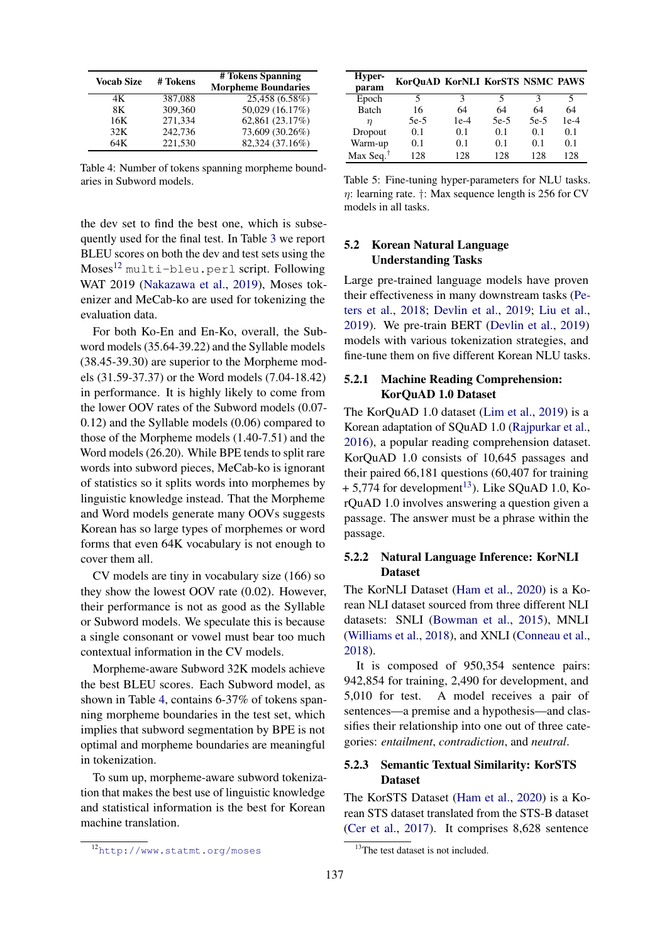<span id="page-4-1"></span>

| <b>Vocab Size</b> | # Tokens | # Tokens Spanning<br><b>Morpheme Boundaries</b> |
|-------------------|----------|-------------------------------------------------|
| 4K                | 387,088  | 25,458 (6.58%)                                  |
| 8K                | 309,360  | 50,029 (16.17%)                                 |
| 16K               | 271,334  | 62,861 (23.17%)                                 |
| 32K               | 242,736  | 73,609 (30.26%)                                 |
| 64K               | 221,530  | 82,324 (37.16%)                                 |

Table 4: Number of tokens spanning morpheme boundaries in Subword models.

the dev set to find the best one, which is subsequently used for the final test. In Table [3](#page-3-5) we report BLEU scores on both the dev and test sets using the Moses[12](#page-4-0) multi-bleu.perl script. Following WAT 2019 [\(Nakazawa et al.,](#page-8-5) [2019\)](#page-8-5), Moses tokenizer and MeCab-ko are used for tokenizing the evaluation data.

For both Ko-En and En-Ko, overall, the Subword models (35.64-39.22) and the Syllable models (38.45-39.30) are superior to the Morpheme models (31.59-37.37) or the Word models (7.04-18.42) in performance. It is highly likely to come from the lower OOV rates of the Subword models (0.07- 0.12) and the Syllable models (0.06) compared to those of the Morpheme models (1.40-7.51) and the Word models (26.20). While BPE tends to split rare words into subword pieces, MeCab-ko is ignorant of statistics so it splits words into morphemes by linguistic knowledge instead. That the Morpheme and Word models generate many OOVs suggests Korean has so large types of morphemes or word forms that even 64K vocabulary is not enough to cover them all.

CV models are tiny in vocabulary size (166) so they show the lowest OOV rate (0.02). However, their performance is not as good as the Syllable or Subword models. We speculate this is because a single consonant or vowel must bear too much contextual information in the CV models.

Morpheme-aware Subword 32K models achieve the best BLEU scores. Each Subword model, as shown in Table [4,](#page-4-1) contains 6-37% of tokens spanning morpheme boundaries in the test set, which implies that subword segmentation by BPE is not optimal and morpheme boundaries are meaningful in tokenization.

To sum up, morpheme-aware subword tokenization that makes the best use of linguistic knowledge and statistical information is the best for Korean machine translation.

<span id="page-4-3"></span>

| Hyper-<br>param       | KorQuAD KorNLI KorSTS NSMC PAWS |        |        |        |        |
|-----------------------|---------------------------------|--------|--------|--------|--------|
| Epoch                 | 5                               | З      | 5      | 3      | 5      |
| <b>Batch</b>          | 16                              | 64     | 64     | 64     | 64     |
| п                     | $5e-5$                          | $1e-4$ | $5e-5$ | $5e-5$ | $1e-4$ |
| Dropout               | 0.1                             | 0.1    | 0.1    | 0.1    | 0.1    |
| Warm-up               | 0.1                             | 0.1    | 0.1    | 0.1    | 0.1    |
| Max Seq. <sup>†</sup> | 128                             | 128    | 128    | 128    | 128    |

Table 5: Fine-tuning hyper-parameters for NLU tasks.  $\eta$ : learning rate.  $\dagger$ : Max sequence length is 256 for CV models in all tasks.

# 5.2 Korean Natural Language Understanding Tasks

Large pre-trained language models have proven their effectiveness in many downstream tasks [\(Pe](#page-8-13)[ters et al.,](#page-8-13) [2018;](#page-8-13) [Devlin et al.,](#page-7-4) [2019;](#page-7-4) [Liu et al.,](#page-8-14) [2019\)](#page-8-14). We pre-train BERT [\(Devlin et al.,](#page-7-4) [2019\)](#page-7-4) models with various tokenization strategies, and fine-tune them on five different Korean NLU tasks.

# 5.2.1 Machine Reading Comprehension: KorQuAD 1.0 Dataset

The KorQuAD 1.0 dataset [\(Lim et al.,](#page-8-15) [2019\)](#page-8-15) is a Korean adaptation of SQuAD 1.0 [\(Rajpurkar et al.,](#page-8-16) [2016\)](#page-8-16), a popular reading comprehension dataset. KorQuAD 1.0 consists of 10,645 passages and their paired 66,181 questions (60,407 for training  $+ 5,774$  for development<sup>[13](#page-4-2)</sup>). Like SQuAD 1.0, KorQuAD 1.0 involves answering a question given a passage. The answer must be a phrase within the passage.

# 5.2.2 Natural Language Inference: KorNLI Dataset

The KorNLI Dataset [\(Ham et al.,](#page-7-6) [2020\)](#page-7-6) is a Korean NLI dataset sourced from three different NLI datasets: SNLI [\(Bowman et al.,](#page-7-7) [2015\)](#page-7-7), MNLI [\(Williams et al.,](#page-9-4) [2018\)](#page-9-4), and XNLI [\(Conneau et al.,](#page-7-8) [2018\)](#page-7-8).

It is composed of 950,354 sentence pairs: 942,854 for training, 2,490 for development, and 5,010 for test. A model receives a pair of sentences—a premise and a hypothesis—and classifies their relationship into one out of three categories: *entailment*, *contradiction*, and *neutral*.

# 5.2.3 Semantic Textual Similarity: KorSTS Dataset

The KorSTS Dataset [\(Ham et al.,](#page-7-6) [2020\)](#page-7-6) is a Korean STS dataset translated from the STS-B dataset [\(Cer et al.,](#page-7-9) [2017\)](#page-7-9). It comprises 8,628 sentence

<span id="page-4-0"></span><sup>12</sup><http://www.statmt.org/moses>

<span id="page-4-2"></span><sup>&</sup>lt;sup>13</sup>The test dataset is not included.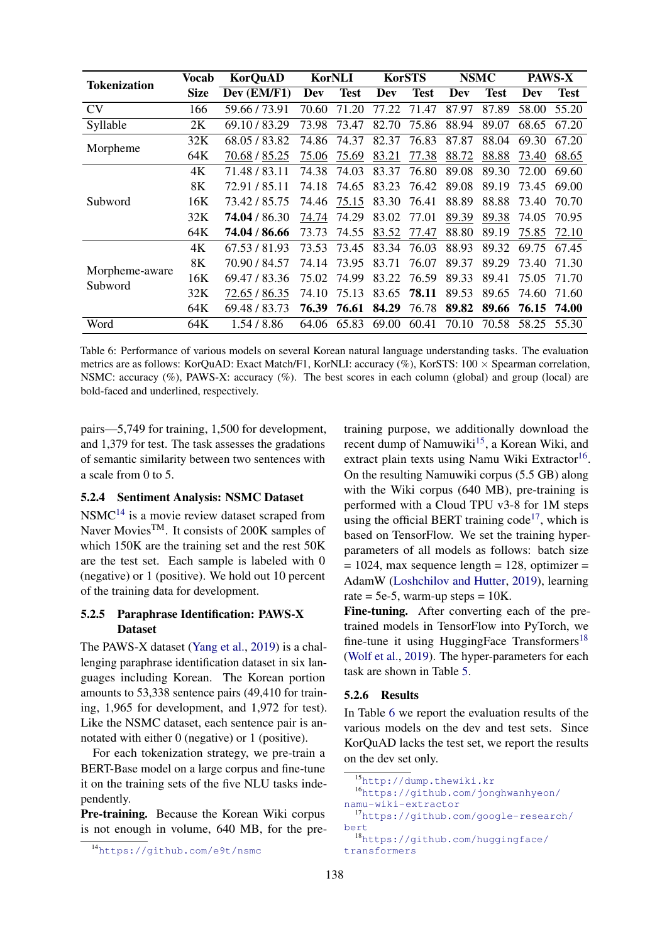<span id="page-5-5"></span>

| <b>Tokenization</b>       | Vocab       | <b>KorQuAD</b> | <b>KorNLI</b> |             | <b>KorSTS</b> |             | <b>NSMC</b> |       | <b>PAWS-X</b> |             |
|---------------------------|-------------|----------------|---------------|-------------|---------------|-------------|-------------|-------|---------------|-------------|
|                           | <b>Size</b> | Dev (EM/F1)    | Dev           | <b>Test</b> | Dev           | <b>Test</b> | Dev         | Test  | Dev           | <b>Test</b> |
| <b>CV</b>                 | 166         | 59.66/73.91    | 70.60         | 71.20       | 77.22         | 71.47       | 87.97       | 87.89 | 58.00         | 55.20       |
| Syllable                  | 2K          | 69.10/83.29    | 73.98         | 73.47       | 82.70         | 75.86       | 88.94       | 89.07 | 68.65         | 67.20       |
| Morpheme                  | 32K         | 68.05 / 83.82  | 74.86         | 74.37       | 82.37         | 76.83       | 87.87       | 88.04 | 69.30         | 67.20       |
|                           | 64K         | 70.68 / 85.25  | 75.06         | 75.69       | 83.21         | 77.38       | 88.72       | 88.88 | 73.40         | 68.65       |
|                           | 4K          | 71.48 / 83.11  | 74.38         | 74.03       | 83.37         | 76.80       | 89.08       | 89.30 | 72.00         | 69.60       |
|                           | 8K          | 72.91/85.11    | 74.18         | 74.65       | 83.23         | 76.42       | 89.08       | 89.19 | 73.45         | 69.00       |
| Subword                   | 16K         | 73.42 / 85.75  | 74.46         | 75.15       | 83.30         | 76.41       | 88.89       | 88.88 | 73.40         | 70.70       |
|                           | 32K         | 74.04 / 86.30  | 74.74         | 74.29       | 83.02         | 77.01       | 89.39       | 89.38 | 74.05         | 70.95       |
|                           | 64K         | 74.04 / 86.66  | 73.73         | 74.55       | 83.52         | 77.47       | 88.80       | 89.19 | 75.85         | 72.10       |
| Morpheme-aware<br>Subword | 4K          | 67.53/81.93    | 73.53         | 73.45       | 83.34         | 76.03       | 88.93       | 89.32 | 69.75         | 67.45       |
|                           | 8K          | 70.90 / 84.57  | 74.14         | 73.95       | 83.71         | 76.07       | 89.37       | 89.29 | 73.40         | 71.30       |
|                           | 16K         | 69.47 / 83.36  | 75.02         | 74.99       | 83.22         | 76.59       | 89.33       | 89.41 | 75.05         | 71.70       |
|                           | 32K         | 72.65 / 86.35  | 74.10         | 75.13       | 83.65         | 78.11       | 89.53       | 89.65 | 74.60         | 71.60       |
|                           | 64K         | 69.48 / 83.73  | 76.39         | 76.61       | 84.29         | 76.78       | 89.82       | 89.66 | 76.15 74.00   |             |
| Word                      | 64K         | 1.54/8.86      | 64.06         | 65.83       | 69.00         | 60.41       | 70.10       | 70.58 | 58.25         | 55.30       |

Table 6: Performance of various models on several Korean natural language understanding tasks. The evaluation metrics are as follows: KorQuAD: Exact Match/F1, KorNLI: accuracy (%), KorSTS: 100 × Spearman correlation, NSMC: accuracy  $(\%)$ , PAWS-X: accuracy  $(\%)$ . The best scores in each column (global) and group (local) are bold-faced and underlined, respectively.

pairs—5,749 for training, 1,500 for development, and 1,379 for test. The task assesses the gradations of semantic similarity between two sentences with a scale from 0 to 5.

# 5.2.4 Sentiment Analysis: NSMC Dataset

 $NSMC<sup>14</sup>$  $NSMC<sup>14</sup>$  $NSMC<sup>14</sup>$  is a movie review dataset scraped from Naver Movies<sup>TM</sup>. It consists of 200K samples of which 150K are the training set and the rest 50K are the test set. Each sample is labeled with 0 (negative) or 1 (positive). We hold out 10 percent of the training data for development.

# 5.2.5 Paraphrase Identification: PAWS-X Dataset

The PAWS-X dataset [\(Yang et al.,](#page-9-5) [2019\)](#page-9-5) is a challenging paraphrase identification dataset in six languages including Korean. The Korean portion amounts to 53,338 sentence pairs (49,410 for training, 1,965 for development, and 1,972 for test). Like the NSMC dataset, each sentence pair is annotated with either 0 (negative) or 1 (positive).

For each tokenization strategy, we pre-train a BERT-Base model on a large corpus and fine-tune it on the training sets of the five NLU tasks independently.

Pre-training. Because the Korean Wiki corpus is not enough in volume, 640 MB, for the pretraining purpose, we additionally download the recent dump of Namuwiki $1<sup>5</sup>$ , a Korean Wiki, and extract plain texts using Namu Wiki Extractor<sup>[16](#page-5-2)</sup>. On the resulting Namuwiki corpus (5.5 GB) along with the Wiki corpus (640 MB), pre-training is performed with a Cloud TPU v3-8 for 1M steps using the official BERT training  $\text{code}^{17}$  $\text{code}^{17}$  $\text{code}^{17}$ , which is based on TensorFlow. We set the training hyperparameters of all models as follows: batch size  $= 1024$ , max sequence length  $= 128$ , optimizer  $=$ AdamW [\(Loshchilov and Hutter,](#page-8-17) [2019\)](#page-8-17), learning rate = 5e-5, warm-up steps =  $10K$ .

Fine-tuning. After converting each of the pretrained models in TensorFlow into PyTorch, we fine-tune it using HuggingFace Transformers<sup>[18](#page-5-4)</sup> [\(Wolf et al.,](#page-9-6) [2019\)](#page-9-6). The hyper-parameters for each task are shown in Table [5.](#page-4-3)

#### 5.2.6 Results

In Table [6](#page-5-5) we report the evaluation results of the various models on the dev and test sets. Since KorQuAD lacks the test set, we report the results on the dev set only.

<span id="page-5-2"></span><span id="page-5-1"></span><sup>15</sup><http://dump.thewiki.kr>

<sup>16</sup>[https://github.com/jonghwanhyeon/](https://github.com/jonghwanhyeon/namu-wiki-extractor) [namu-wiki-extractor](https://github.com/jonghwanhyeon/namu-wiki-extractor)

<span id="page-5-3"></span><sup>17</sup>[https://github.com/google-research/](https://github.com/google-research/bert) [bert](https://github.com/google-research/bert)

<span id="page-5-0"></span><sup>14</sup><https://github.com/e9t/nsmc>

<span id="page-5-4"></span><sup>18</sup>[https://github.com/huggingface/](https://github.com/huggingface/transformers) [transformers](https://github.com/huggingface/transformers)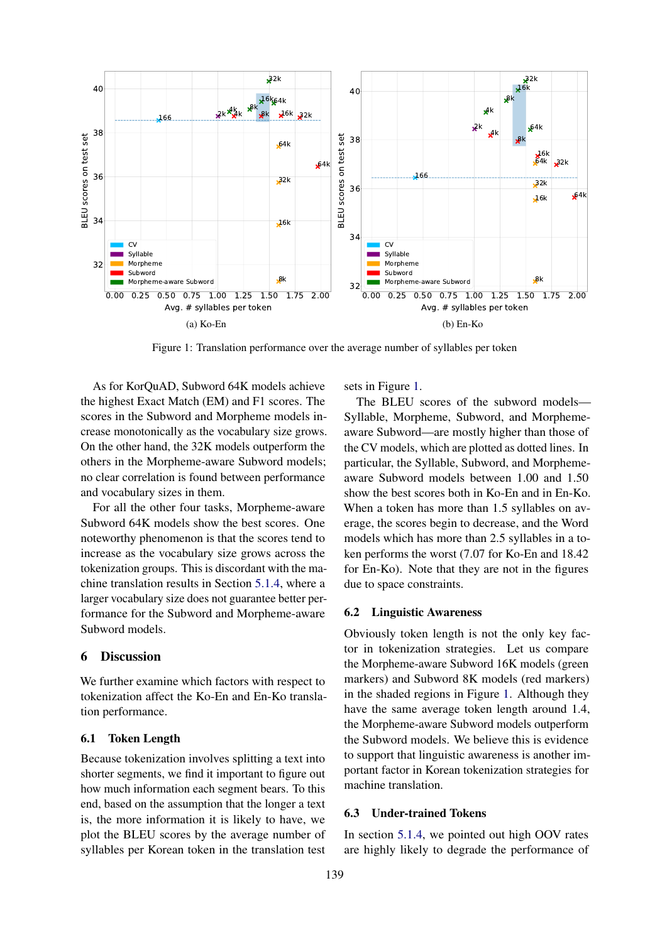<span id="page-6-0"></span>

Figure 1: Translation performance over the average number of syllables per token

As for KorQuAD, Subword 64K models achieve the highest Exact Match (EM) and F1 scores. The scores in the Subword and Morpheme models increase monotonically as the vocabulary size grows. On the other hand, the 32K models outperform the others in the Morpheme-aware Subword models; no clear correlation is found between performance and vocabulary sizes in them.

For all the other four tasks, Morpheme-aware Subword 64K models show the best scores. One noteworthy phenomenon is that the scores tend to increase as the vocabulary size grows across the tokenization groups. This is discordant with the machine translation results in Section [5.1.4,](#page-3-6) where a larger vocabulary size does not guarantee better performance for the Subword and Morpheme-aware Subword models.

# 6 Discussion

We further examine which factors with respect to tokenization affect the Ko-En and En-Ko translation performance.

#### 6.1 Token Length

Because tokenization involves splitting a text into shorter segments, we find it important to figure out how much information each segment bears. To this end, based on the assumption that the longer a text is, the more information it is likely to have, we plot the BLEU scores by the average number of syllables per Korean token in the translation test sets in Figure [1.](#page-6-0)

The BLEU scores of the subword models— Syllable, Morpheme, Subword, and Morphemeaware Subword—are mostly higher than those of the CV models, which are plotted as dotted lines. In particular, the Syllable, Subword, and Morphemeaware Subword models between 1.00 and 1.50 show the best scores both in Ko-En and in En-Ko. When a token has more than 1.5 syllables on average, the scores begin to decrease, and the Word models which has more than 2.5 syllables in a token performs the worst (7.07 for Ko-En and 18.42 for En-Ko). Note that they are not in the figures due to space constraints.

#### 6.2 Linguistic Awareness

Obviously token length is not the only key factor in tokenization strategies. Let us compare the Morpheme-aware Subword 16K models (green markers) and Subword 8K models (red markers) in the shaded regions in Figure [1.](#page-6-0) Although they have the same average token length around 1.4, the Morpheme-aware Subword models outperform the Subword models. We believe this is evidence to support that linguistic awareness is another important factor in Korean tokenization strategies for machine translation.

# 6.3 Under-trained Tokens

In section [5.1.4,](#page-3-6) we pointed out high OOV rates are highly likely to degrade the performance of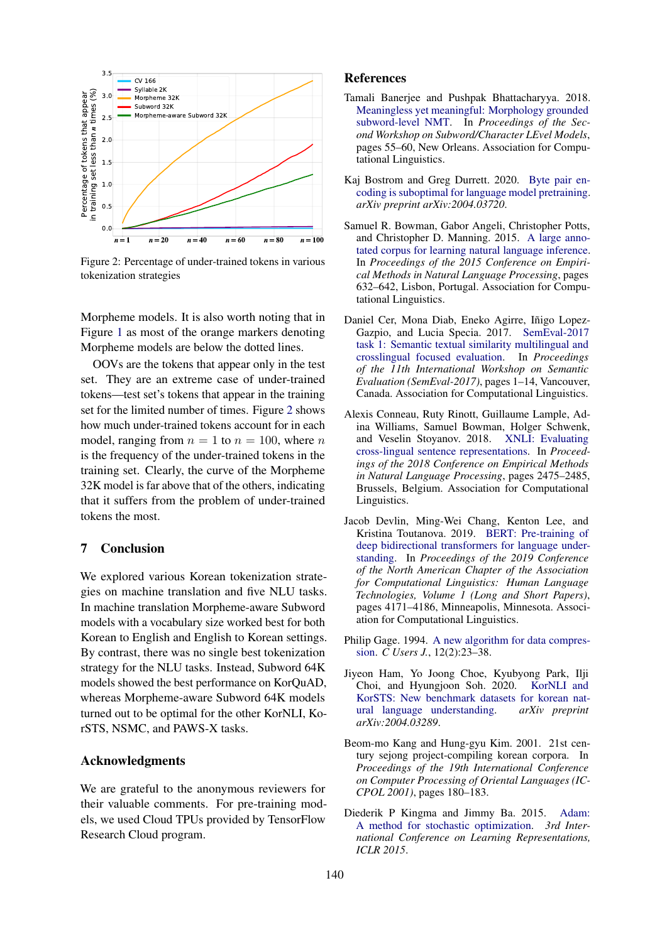<span id="page-7-10"></span>

Figure 2: Percentage of under-trained tokens in various tokenization strategies

Morpheme models. It is also worth noting that in Figure [1](#page-6-0) as most of the orange markers denoting Morpheme models are below the dotted lines.

OOVs are the tokens that appear only in the test set. They are an extreme case of under-trained tokens—test set's tokens that appear in the training set for the limited number of times. Figure [2](#page-7-10) shows how much under-trained tokens account for in each model, ranging from  $n = 1$  to  $n = 100$ , where n is the frequency of the under-trained tokens in the training set. Clearly, the curve of the Morpheme 32K model is far above that of the others, indicating that it suffers from the problem of under-trained tokens the most.

# 7 Conclusion

We explored various Korean tokenization strategies on machine translation and five NLU tasks. In machine translation Morpheme-aware Subword models with a vocabulary size worked best for both Korean to English and English to Korean settings. By contrast, there was no single best tokenization strategy for the NLU tasks. Instead, Subword 64K models showed the best performance on KorQuAD, whereas Morpheme-aware Subword 64K models turned out to be optimal for the other KorNLI, KorSTS, NSMC, and PAWS-X tasks.

#### Acknowledgments

We are grateful to the anonymous reviewers for their valuable comments. For pre-training models, we used Cloud TPUs provided by TensorFlow Research Cloud program.

#### References

- <span id="page-7-2"></span>Tamali Banerjee and Pushpak Bhattacharyya. 2018. [Meaningless yet meaningful: Morphology grounded](https://doi.org/10.18653/v1/W18-1207) [subword-level NMT.](https://doi.org/10.18653/v1/W18-1207) In *Proceedings of the Second Workshop on Subword/Character LEvel Models*, pages 55–60, New Orleans. Association for Computational Linguistics.
- <span id="page-7-3"></span>Kaj Bostrom and Greg Durrett. 2020. [Byte pair en](https://arxiv.org/abs/2004.03720)[coding is suboptimal for language model pretraining.](https://arxiv.org/abs/2004.03720) *arXiv preprint arXiv:2004.03720*.
- <span id="page-7-7"></span>Samuel R. Bowman, Gabor Angeli, Christopher Potts, and Christopher D. Manning. 2015. [A large anno](https://doi.org/10.18653/v1/D15-1075)[tated corpus for learning natural language inference.](https://doi.org/10.18653/v1/D15-1075) In *Proceedings of the 2015 Conference on Empirical Methods in Natural Language Processing*, pages 632–642, Lisbon, Portugal. Association for Computational Linguistics.
- <span id="page-7-9"></span>Daniel Cer, Mona Diab, Eneko Agirre, Iñigo Lopez-Gazpio, and Lucia Specia. 2017. [SemEval-2017](https://doi.org/10.18653/v1/S17-2001) [task 1: Semantic textual similarity multilingual and](https://doi.org/10.18653/v1/S17-2001) [crosslingual focused evaluation.](https://doi.org/10.18653/v1/S17-2001) In *Proceedings of the 11th International Workshop on Semantic Evaluation (SemEval-2017)*, pages 1–14, Vancouver, Canada. Association for Computational Linguistics.
- <span id="page-7-8"></span>Alexis Conneau, Ruty Rinott, Guillaume Lample, Adina Williams, Samuel Bowman, Holger Schwenk, and Veselin Stoyanov. 2018. [XNLI: Evaluating](https://doi.org/10.18653/v1/D18-1269) [cross-lingual sentence representations.](https://doi.org/10.18653/v1/D18-1269) In *Proceedings of the 2018 Conference on Empirical Methods in Natural Language Processing*, pages 2475–2485, Brussels, Belgium. Association for Computational Linguistics.
- <span id="page-7-4"></span>Jacob Devlin, Ming-Wei Chang, Kenton Lee, and Kristina Toutanova. 2019. [BERT: Pre-training of](https://doi.org/10.18653/v1/N19-1423) [deep bidirectional transformers for language under](https://doi.org/10.18653/v1/N19-1423)[standing.](https://doi.org/10.18653/v1/N19-1423) In *Proceedings of the 2019 Conference of the North American Chapter of the Association for Computational Linguistics: Human Language Technologies, Volume 1 (Long and Short Papers)*, pages 4171–4186, Minneapolis, Minnesota. Association for Computational Linguistics.
- <span id="page-7-0"></span>Philip Gage. 1994. [A new algorithm for data compres](http://dl.acm.org/citation.cfm?id=177910.177914)[sion.](http://dl.acm.org/citation.cfm?id=177910.177914) *C Users J.*, 12(2):23–38.
- <span id="page-7-6"></span>Jiyeon Ham, Yo Joong Choe, Kyubyong Park, Ilji Choi, and Hyungjoon Soh. 2020. [KorNLI and](https://arxiv.org/abs/2004.03289) KorSTS: New benchmark datasets for korean nat-<br>ural language understanding. arXiv preprint [ural language understanding.](https://arxiv.org/abs/2004.03289) *arXiv:2004.03289*.
- <span id="page-7-1"></span>Beom-mo Kang and Hung-gyu Kim. 2001. 21st century sejong project-compiling korean corpora. In *Proceedings of the 19th International Conference on Computer Processing of Oriental Languages (IC-CPOL 2001)*, pages 180–183.
- <span id="page-7-5"></span>Diederik P Kingma and Jimmy Ba. 2015. [Adam:](https://arxiv.org/abs/1412.6980) [A method for stochastic optimization.](https://arxiv.org/abs/1412.6980) *3rd International Conference on Learning Representations, ICLR 2015*.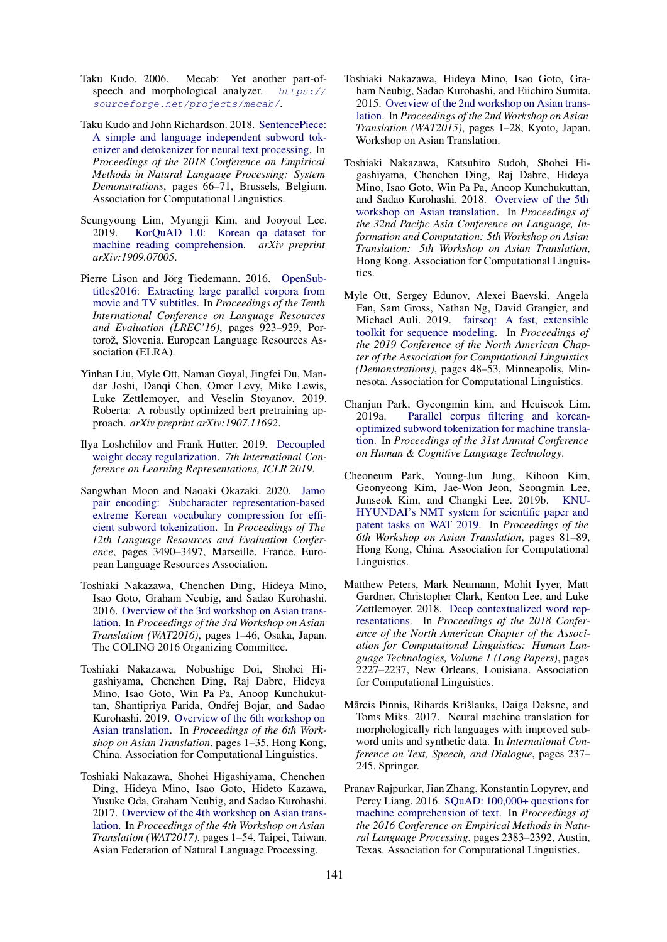- <span id="page-8-0"></span>Taku Kudo. 2006. Mecab: Yet another part-ofspeech and morphological analyzer.  $https://$ [sourceforge.net/projects/mecab/](https://sourceforge.net/projects/mecab/).
- <span id="page-8-10"></span>Taku Kudo and John Richardson. 2018. [SentencePiece:](https://doi.org/10.18653/v1/D18-2012) [A simple and language independent subword tok](https://doi.org/10.18653/v1/D18-2012)[enizer and detokenizer for neural text processing.](https://doi.org/10.18653/v1/D18-2012) In *Proceedings of the 2018 Conference on Empirical Methods in Natural Language Processing: System Demonstrations*, pages 66–71, Brussels, Belgium. Association for Computational Linguistics.
- <span id="page-8-15"></span>Seungyoung Lim, Myungji Kim, and Jooyoul Lee. 2019. [KorQuAD 1.0: Korean qa dataset for](https://arxiv.org/abs/1909.07005) [machine reading comprehension.](https://arxiv.org/abs/1909.07005) *arXiv preprint arXiv:1909.07005*.
- <span id="page-8-11"></span>Pierre Lison and Jörg Tiedemann. 2016. [OpenSub](https://www.aclweb.org/anthology/L16-1147)[titles2016: Extracting large parallel corpora from](https://www.aclweb.org/anthology/L16-1147) [movie and TV subtitles.](https://www.aclweb.org/anthology/L16-1147) In *Proceedings of the Tenth International Conference on Language Resources and Evaluation (LREC'16)*, pages 923–929, Portorož, Slovenia. European Language Resources Association (ELRA).
- <span id="page-8-14"></span>Yinhan Liu, Myle Ott, Naman Goyal, Jingfei Du, Mandar Joshi, Danqi Chen, Omer Levy, Mike Lewis, Luke Zettlemoyer, and Veselin Stoyanov. 2019. Roberta: A robustly optimized bert pretraining approach. *arXiv preprint arXiv:1907.11692*.
- <span id="page-8-17"></span>Ilya Loshchilov and Frank Hutter. 2019. [Decoupled](https://openreview.net/pdf?id=Bkg6RiCqY7) [weight decay regularization.](https://openreview.net/pdf?id=Bkg6RiCqY7) *7th International Conference on Learning Representations, ICLR 2019*.
- <span id="page-8-9"></span>Sangwhan Moon and Naoaki Okazaki. 2020. [Jamo](https://www.aclweb.org/anthology/2020.lrec-1.429) [pair encoding: Subcharacter representation-based](https://www.aclweb.org/anthology/2020.lrec-1.429) [extreme Korean vocabulary compression for effi](https://www.aclweb.org/anthology/2020.lrec-1.429)[cient subword tokenization.](https://www.aclweb.org/anthology/2020.lrec-1.429) In *Proceedings of The 12th Language Resources and Evaluation Conference*, pages 3490–3497, Marseille, France. European Language Resources Association.
- <span id="page-8-2"></span>Toshiaki Nakazawa, Chenchen Ding, Hideya Mino, Isao Goto, Graham Neubig, and Sadao Kurohashi. 2016. [Overview of the 3rd workshop on Asian trans](https://www.aclweb.org/anthology/W16-4601)[lation.](https://www.aclweb.org/anthology/W16-4601) In *Proceedings of the 3rd Workshop on Asian Translation (WAT2016)*, pages 1–46, Osaka, Japan. The COLING 2016 Organizing Committee.
- <span id="page-8-5"></span>Toshiaki Nakazawa, Nobushige Doi, Shohei Higashiyama, Chenchen Ding, Raj Dabre, Hideya Mino, Isao Goto, Win Pa Pa, Anoop Kunchukuttan, Shantipriya Parida, Ondřej Bojar, and Sadao Kurohashi. 2019. [Overview of the 6th workshop on](https://doi.org/10.18653/v1/D19-5201) [Asian translation.](https://doi.org/10.18653/v1/D19-5201) In *Proceedings of the 6th Workshop on Asian Translation*, pages 1–35, Hong Kong, China. Association for Computational Linguistics.
- <span id="page-8-3"></span>Toshiaki Nakazawa, Shohei Higashiyama, Chenchen Ding, Hideya Mino, Isao Goto, Hideto Kazawa, Yusuke Oda, Graham Neubig, and Sadao Kurohashi. 2017. [Overview of the 4th workshop on Asian trans](https://www.aclweb.org/anthology/W17-5701)[lation.](https://www.aclweb.org/anthology/W17-5701) In *Proceedings of the 4th Workshop on Asian Translation (WAT2017)*, pages 1–54, Taipei, Taiwan. Asian Federation of Natural Language Processing.
- <span id="page-8-1"></span>Toshiaki Nakazawa, Hideya Mino, Isao Goto, Graham Neubig, Sadao Kurohashi, and Eiichiro Sumita. 2015. [Overview of the 2nd workshop on Asian trans](https://www.aclweb.org/anthology/W15-5001)[lation.](https://www.aclweb.org/anthology/W15-5001) In *Proceedings of the 2nd Workshop on Asian Translation (WAT2015)*, pages 1–28, Kyoto, Japan. Workshop on Asian Translation.
- <span id="page-8-4"></span>Toshiaki Nakazawa, Katsuhito Sudoh, Shohei Higashiyama, Chenchen Ding, Raj Dabre, Hideya Mino, Isao Goto, Win Pa Pa, Anoop Kunchukuttan, and Sadao Kurohashi. 2018. [Overview of the 5th](https://www.aclweb.org/anthology/Y18-3001) [workshop on Asian translation.](https://www.aclweb.org/anthology/Y18-3001) In *Proceedings of the 32nd Pacific Asia Conference on Language, Information and Computation: 5th Workshop on Asian Translation: 5th Workshop on Asian Translation*, Hong Kong. Association for Computational Linguistics.
- <span id="page-8-12"></span>Myle Ott, Sergey Edunov, Alexei Baevski, Angela Fan, Sam Gross, Nathan Ng, David Grangier, and Michael Auli. 2019. [fairseq: A fast, extensible](https://doi.org/10.18653/v1/N19-4009) [toolkit for sequence modeling.](https://doi.org/10.18653/v1/N19-4009) In *Proceedings of the 2019 Conference of the North American Chapter of the Association for Computational Linguistics (Demonstrations)*, pages 48–53, Minneapolis, Minnesota. Association for Computational Linguistics.
- <span id="page-8-8"></span>Chanjun Park, Gyeongmin kim, and Heuiseok Lim. 2019a. [Parallel corpus filtering and korean](http://hiai.co.kr/wp-content/uploads/2019/12/%EB%85%BC%EB%AC%B8%EC%A6%9D%EB%B9%99_2019_06.pdf)[optimized subword tokenization for machine transla](http://hiai.co.kr/wp-content/uploads/2019/12/%EB%85%BC%EB%AC%B8%EC%A6%9D%EB%B9%99_2019_06.pdf)[tion.](http://hiai.co.kr/wp-content/uploads/2019/12/%EB%85%BC%EB%AC%B8%EC%A6%9D%EB%B9%99_2019_06.pdf) In *Proceedings of the 31st Annual Conference on Human & Cognitive Language Technology*.
- <span id="page-8-6"></span>Cheoneum Park, Young-Jun Jung, Kihoon Kim, Geonyeong Kim, Jae-Won Jeon, Seongmin Lee, Junseok Kim, and Changki Lee. 2019b. [KNU-](https://doi.org/10.18653/v1/D19-5208)[HYUNDAI's NMT system for scientific paper and](https://doi.org/10.18653/v1/D19-5208) [patent tasks on WAT 2019.](https://doi.org/10.18653/v1/D19-5208) In *Proceedings of the 6th Workshop on Asian Translation*, pages 81–89, Hong Kong, China. Association for Computational Linguistics.
- <span id="page-8-13"></span>Matthew Peters, Mark Neumann, Mohit Iyyer, Matt Gardner, Christopher Clark, Kenton Lee, and Luke Zettlemoyer. 2018. [Deep contextualized word rep](https://doi.org/10.18653/v1/N18-1202)[resentations.](https://doi.org/10.18653/v1/N18-1202) In *Proceedings of the 2018 Conference of the North American Chapter of the Association for Computational Linguistics: Human Language Technologies, Volume 1 (Long Papers)*, pages 2227–2237, New Orleans, Louisiana. Association for Computational Linguistics.
- <span id="page-8-7"></span>Mārcis Pinnis, Rihards Krišlauks, Daiga Deksne, and Toms Miks. 2017. Neural machine translation for morphologically rich languages with improved subword units and synthetic data. In *International Conference on Text, Speech, and Dialogue*, pages 237– 245. Springer.
- <span id="page-8-16"></span>Pranav Rajpurkar, Jian Zhang, Konstantin Lopyrev, and Percy Liang. 2016. [SQuAD: 100,000+ questions for](https://doi.org/10.18653/v1/D16-1264) [machine comprehension of text.](https://doi.org/10.18653/v1/D16-1264) In *Proceedings of the 2016 Conference on Empirical Methods in Natural Language Processing*, pages 2383–2392, Austin, Texas. Association for Computational Linguistics.